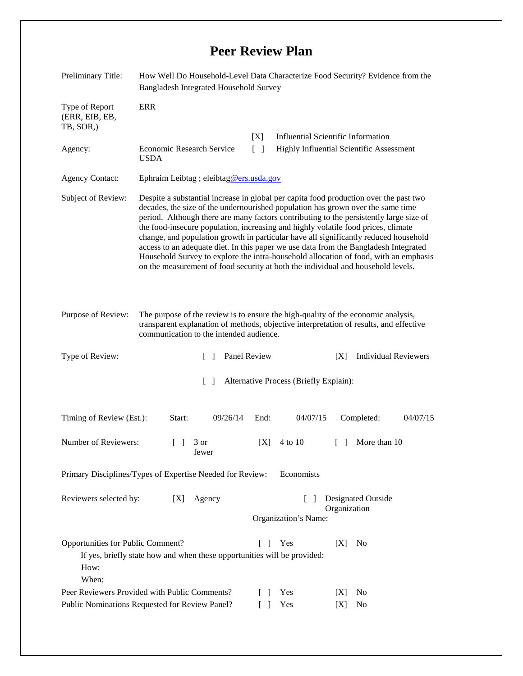## **Peer Review Plan**

| Preliminary Title:                                                                                                                                                       | How Well Do Household-Level Data Characterize Food Security? Evidence from the<br><b>Bangladesh Integrated Household Survey</b>                                                                                                                                                                                                                                                                                                                                                                                                                                                                                                                                                                                     |               |                                                                                       |                                    |                             |  |
|--------------------------------------------------------------------------------------------------------------------------------------------------------------------------|---------------------------------------------------------------------------------------------------------------------------------------------------------------------------------------------------------------------------------------------------------------------------------------------------------------------------------------------------------------------------------------------------------------------------------------------------------------------------------------------------------------------------------------------------------------------------------------------------------------------------------------------------------------------------------------------------------------------|---------------|---------------------------------------------------------------------------------------|------------------------------------|-----------------------------|--|
| <b>ERR</b><br>Type of Report<br>(ERR, EIB, EB,<br>TB, SOR,)                                                                                                              |                                                                                                                                                                                                                                                                                                                                                                                                                                                                                                                                                                                                                                                                                                                     |               |                                                                                       |                                    |                             |  |
| Agency:<br><b>USDA</b>                                                                                                                                                   | Economic Research Service                                                                                                                                                                                                                                                                                                                                                                                                                                                                                                                                                                                                                                                                                           | [X]<br>$\Box$ | <b>Influential Scientific Information</b><br>Highly Influential Scientific Assessment |                                    |                             |  |
| <b>Agency Contact:</b>                                                                                                                                                   | Ephraim Leibtag ; eleibtag@ers.usda.gov                                                                                                                                                                                                                                                                                                                                                                                                                                                                                                                                                                                                                                                                             |               |                                                                                       |                                    |                             |  |
| Subject of Review:                                                                                                                                                       | Despite a substantial increase in global per capita food production over the past two<br>decades, the size of the undernourished population has grown over the same time<br>period. Although there are many factors contributing to the persistently large size of<br>the food-insecure population, increasing and highly volatile food prices, climate<br>change, and population growth in particular have all significantly reduced household<br>access to an adequate diet. In this paper we use data from the Bangladesh Integrated<br>Household Survey to explore the intra-household allocation of food, with an emphasis<br>on the measurement of food security at both the individual and household levels. |               |                                                                                       |                                    |                             |  |
| Purpose of Review:                                                                                                                                                       | The purpose of the review is to ensure the high-quality of the economic analysis,<br>transparent explanation of methods, objective interpretation of results, and effective<br>communication to the intended audience.                                                                                                                                                                                                                                                                                                                                                                                                                                                                                              |               |                                                                                       |                                    |                             |  |
| Type of Review:                                                                                                                                                          | $\Box$                                                                                                                                                                                                                                                                                                                                                                                                                                                                                                                                                                                                                                                                                                              | Panel Review  |                                                                                       | [X]                                | <b>Individual Reviewers</b> |  |
| Alternative Process (Briefly Explain):<br>$\Box$                                                                                                                         |                                                                                                                                                                                                                                                                                                                                                                                                                                                                                                                                                                                                                                                                                                                     |               |                                                                                       |                                    |                             |  |
| Timing of Review (Est.):                                                                                                                                                 | Start:<br>09/26/14                                                                                                                                                                                                                                                                                                                                                                                                                                                                                                                                                                                                                                                                                                  | End:          | 04/07/15                                                                              | Completed:                         | 04/07/15                    |  |
| Number of Reviewers:                                                                                                                                                     | $\begin{bmatrix} 1 & 3 \end{bmatrix}$<br>fewer                                                                                                                                                                                                                                                                                                                                                                                                                                                                                                                                                                                                                                                                      | [X]           | 4 to 10                                                                               | $\Box$                             | More than 10                |  |
| Economists<br>Primary Disciplines/Types of Expertise Needed for Review:                                                                                                  |                                                                                                                                                                                                                                                                                                                                                                                                                                                                                                                                                                                                                                                                                                                     |               |                                                                                       |                                    |                             |  |
| Reviewers selected by:<br>Designated Outside<br>Agency<br>[X]<br>$\Box$<br>Organization<br>Organization's Name:                                                          |                                                                                                                                                                                                                                                                                                                                                                                                                                                                                                                                                                                                                                                                                                                     |               |                                                                                       |                                    |                             |  |
| Opportunities for Public Comment?<br>Yes<br>[X]<br>N <sub>0</sub><br>$\Box$<br>If yes, briefly state how and when these opportunities will be provided:<br>How:<br>When: |                                                                                                                                                                                                                                                                                                                                                                                                                                                                                                                                                                                                                                                                                                                     |               |                                                                                       |                                    |                             |  |
| Peer Reviewers Provided with Public Comments?<br>Public Nominations Requested for Review Panel?                                                                          |                                                                                                                                                                                                                                                                                                                                                                                                                                                                                                                                                                                                                                                                                                                     |               | Yes<br>Yes                                                                            | No<br> X <br>[X]<br>N <sub>0</sub> |                             |  |